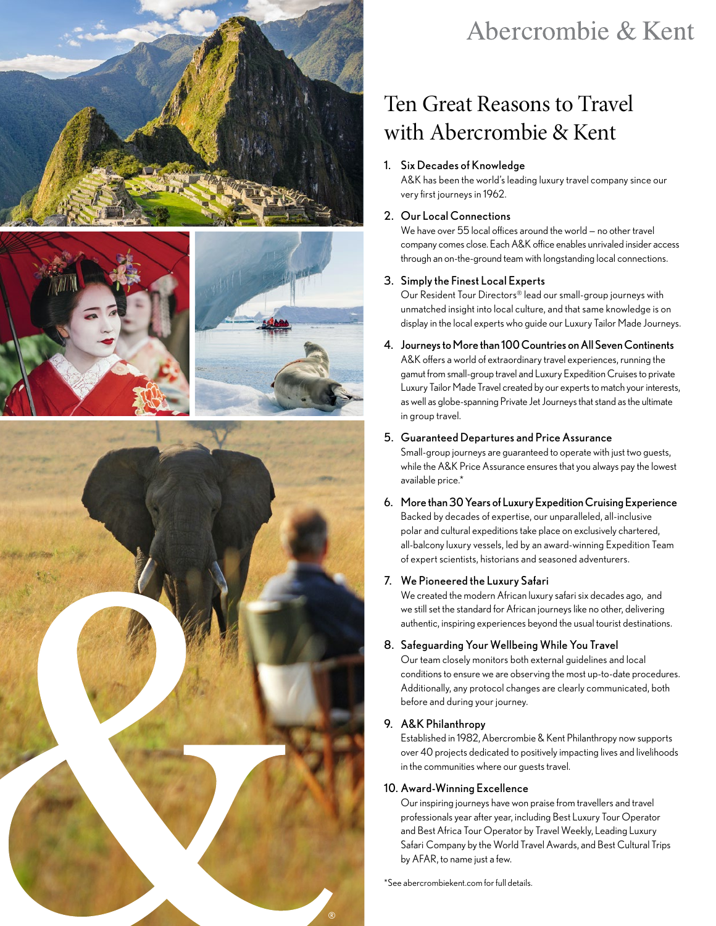







# Abercrombie & Kent

# Ten Great Reasons to Travel with Abercrombie & Kent

#### 1. Six Decades of Knowledge

A&K has been the world's leading luxury travel company since our very first journeys in 1962.

#### 2. Our Local Connections

We have over 55 local offices around the world — no other travel company comes close. Each A&K office enables unrivaled insider access through an on-the-ground team with longstanding local connections.

#### 3. Simply the Finest Local Experts

Our Resident Tour Directors® lead our small-group journeys with unmatched insight into local culture, and that same knowledge is on display in the local experts who guide our Luxury Tailor Made Journeys.

#### 4. Journeys to More than 100 Countries on All Seven Continents

A&K offers a world of extraordinary travel experiences, running the gamut from small-group travel and Luxury Expedition Cruises to private Luxury Tailor Made Travel created by our experts to match your interests, as well as globe-spanning Private Jet Journeys that stand as the ultimate in group travel.

#### 5. Guaranteed Departures and Price Assurance

Small-group journeys are guaranteed to operate with just two guests, while the A&K Price Assurance ensures that you always pay the lowest available price.\*

6. More than 30 Years of Luxury Expedition Cruising Experience Backed by decades of expertise, our unparalleled, all-inclusive polar and cultural expeditions take place on exclusively chartered, all-balcony luxury vessels, led by an award-winning Expedition Team of expert scientists, historians and seasoned adventurers.

# 7. We Pioneered the Luxury Safari

We created the modern African luxury safari six decades ago, and we still set the standard for African journeys like no other, delivering authentic, inspiring experiences beyond the usual tourist destinations.

# 8. Safeguarding Your Wellbeing While You Travel

Our team closely monitors both external guidelines and local conditions to ensure we are observing the most up-to-date procedures. Additionally, any protocol changes are clearly communicated, both before and during your journey.

# 9. A&K Philanthropy

Established in 1982, Abercrombie & Kent Philanthropy now supports over 40 projects dedicated to positively impacting lives and livelihoods in the communities where our guests travel.

# 10. Award-Winning Excellence

Our inspiring journeys have won praise from travellers and travel professionals year after year, including Best Luxury Tour Operator and Best Africa Tour Operator by Travel Weekly, Leading Luxury Safari Company by the World Travel Awards, and Best Cultural Trips by AFAR, to name just a few.

[\\*See abercrombiekent.com for full details.](https://www.abercrombiekent.com/legal/departures-and-prices-guaranteed)